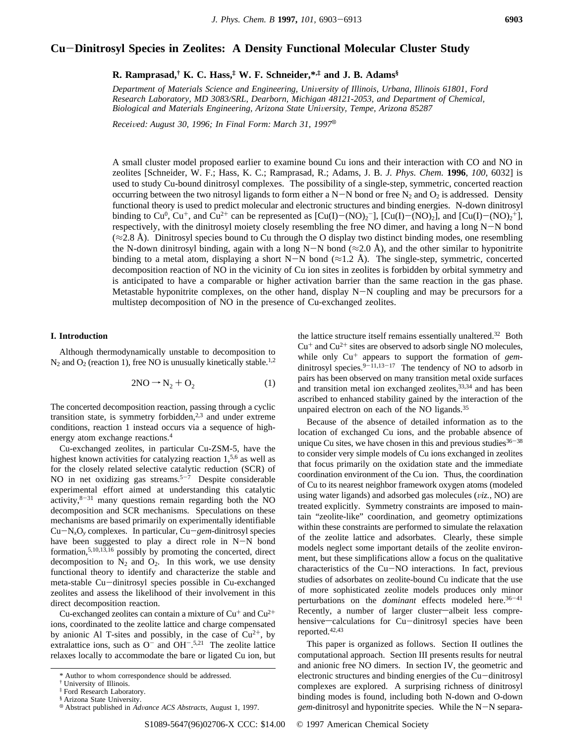# **Cu**-**Dinitrosyl Species in Zeolites: A Density Functional Molecular Cluster Study**

**R. Ramprasad,† K. C. Hass,‡ W. F. Schneider,\*,‡ and J. B. Adams§**

*Department of Materials Science and Engineering, University of Illinois, Urbana, Illinois 61801, Ford Research Laboratory, MD 3083/SRL, Dearborn, Michigan 48121-2053, and Department of Chemical, Biological and Materials Engineering, Arizona State University, Tempe, Arizona 85287* 

*Received: August 30, 1996; In Final Form: March 31, 1997*<sup>8</sup>

A small cluster model proposed earlier to examine bound Cu ions and their interaction with CO and NO in zeolites [Schneider, W. F.; Hass, K. C.; Ramprasad, R.; Adams, J. B. *J. Phys. Chem.* **1996**, *100*, 6032] is used to study Cu-bound dinitrosyl complexes. The possibility of a single-step, symmetric, concerted reaction occurring between the two nitrosyl ligands to form either a N-N bond or free N<sub>2</sub> and  $O_2$  is addressed. Density functional theory is used to predict molecular and electronic structures and binding energies. N-down dinitrosyl binding to Cu<sup>0</sup>, Cu<sup>+</sup>, and Cu<sup>2+</sup> can be represented as [Cu(I)–(NO)<sub>2</sub><sup>-</sup>], [Cu(I)–(NO)<sub>2</sub>], and [Cu(I)–(NO)<sub>2</sub><sup>+</sup>], respectively, with the dinitrosyl moiety closely resembling the free NO dimer, and having a long N-N bond  $(\approx 2.8 \text{ Å})$ . Dinitrosyl species bound to Cu through the O display two distinct binding modes, one resembling the N-down dinitrosyl binding, again with a long N-N bond ( $\approx$ 2.0 Å), and the other similar to hyponitrite binding to a metal atom, displaying a short N-N bond ( $\approx$ 1.2 Å). The single-step, symmetric, concerted decomposition reaction of NO in the vicinity of Cu ion sites in zeolites is forbidden by orbital symmetry and is anticipated to have a comparable or higher activation barrier than the same reaction in the gas phase. Metastable hyponitrite complexes, on the other hand, display  $N-N$  coupling and may be precursors for a multistep decomposition of NO in the presence of Cu-exchanged zeolites.

#### **I. Introduction**

Although thermodynamically unstable to decomposition to  $N_2$  and  $O_2$  (reaction 1), free NO is unusually kinetically stable.<sup>1,2</sup>

$$
2NO \rightarrow N_2 + O_2 \tag{1}
$$

The concerted decomposition reaction, passing through a cyclic transition state, is symmetry forbidden, $2,3$  and under extreme conditions, reaction 1 instead occurs via a sequence of highenergy atom exchange reactions.4

Cu-exchanged zeolites, in particular Cu-ZSM-5, have the highest known activities for catalyzing reaction  $1,56$  as well as for the closely related selective catalytic reduction (SCR) of NO in net oxidizing gas streams. $5-7$  Despite considerable experimental effort aimed at understanding this catalytic activity, $8-31$  many questions remain regarding both the NO decomposition and SCR mechanisms. Speculations on these mechanisms are based primarily on experimentally identifiable Cu-N*x*O*<sup>y</sup>* complexes. In particular, Cu-*gem*-dinitrosyl species have been suggested to play a direct role in N-N bond formation,5,10,13,16 possibly by promoting the concerted, direct decomposition to  $N_2$  and  $O_2$ . In this work, we use density functional theory to identify and characterize the stable and meta-stable Cu-dinitrosyl species possible in Cu-exchanged zeolites and assess the likelihood of their involvement in this direct decomposition reaction.

Cu-exchanged zeolites can contain a mixture of  $Cu<sup>+</sup>$  and  $Cu<sup>2+</sup>$ ions, coordinated to the zeolite lattice and charge compensated by anionic Al T-sites and possibly, in the case of  $Cu^{2+}$ , by extralattice ions, such as  $O^{-}$  and  $OH^{-5,21}$  The zeolite lattice relaxes locally to accommodate the bare or ligated Cu ion, but the lattice structure itself remains essentially unaltered.<sup>32</sup> Both  $Cu<sup>+</sup>$  and  $Cu<sup>2+</sup>$  sites are observed to adsorb single NO molecules, while only  $Cu^{+}$  appears to support the formation of *gem*dinitrosyl species. $9-11,13-17$  The tendency of NO to adsorb in pairs has been observed on many transition metal oxide surfaces and transition metal ion exchanged zeolites, $33,34$  and has been ascribed to enhanced stability gained by the interaction of the unpaired electron on each of the NO ligands.35

Because of the absence of detailed information as to the location of exchanged Cu ions, and the probable absence of unique Cu sites, we have chosen in this and previous studies $36-38$ to consider very simple models of Cu ions exchanged in zeolites that focus primarily on the oxidation state and the immediate coordination environment of the Cu ion. Thus, the coordination of Cu to its nearest neighbor framework oxygen atoms (modeled using water ligands) and adsorbed gas molecules (*viz.*, NO) are treated explicitly. Symmetry constraints are imposed to maintain "zeolite-like" coordination, and geometry optimizations within these constraints are performed to simulate the relaxation of the zeolite lattice and adsorbates. Clearly, these simple models neglect some important details of the zeolite environment, but these simplifications allow a focus on the qualitative characteristics of the Cu-NO interactions. In fact, previous studies of adsorbates on zeolite-bound Cu indicate that the use of more sophisticated zeolite models produces only minor perturbations on the *dominant* effects modeled here.<sup>36-41</sup> Recently, a number of larger cluster-albeit less comprehensive-calculations for Cu-dinitrosyl species have been reported.42,43

This paper is organized as follows. Section II outlines the computational approach. Section III presents results for neutral and anionic free NO dimers. In section IV, the geometric and electronic structures and binding energies of the Cu-dinitrosyl complexes are explored. A surprising richness of dinitrosyl binding modes is found, including both N-down and O-down *gem*-dinitrosyl and hyponitrite species. While the N-N separa-

<sup>\*</sup> Author to whom correspondence should be addressed.

<sup>†</sup> University of Illinois.

<sup>‡</sup> Ford Research Laboratory.

<sup>§</sup> Arizona State University.

<sup>X</sup> Abstract published in *Ad*V*ance ACS Abstracts,* August 1, 1997.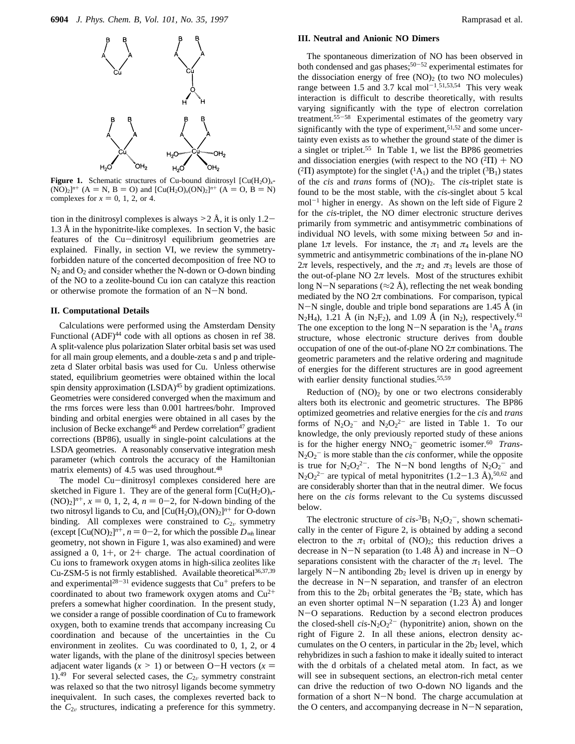

**Figure 1.** Schematic structures of Cu-bound dinitrosyl  $\left[ Cu(H_2O)_{x^-}\right]$  $(NO)_2$ <sup>*n*+</sup> (A = N, B = O) and  $[Cu(H_2O)_x(ON)_2]^{n^+}$  (A = O, B = N) complexes for  $x = 0, 1, 2,$  or 4.

tion in the dinitrosyl complexes is always  $\geq 2$  Å, it is only 1.2-1.3 Å in the hyponitrite-like complexes. In section V, the basic features of the Cu-dinitrosyl equilibrium geometries are explained. Finally, in section VI, we review the symmetryforbidden nature of the concerted decomposition of free NO to  $N_2$  and  $O_2$  and consider whether the N-down or O-down binding of the NO to a zeolite-bound Cu ion can catalyze this reaction or otherwise promote the formation of an N-N bond.

## **II. Computational Details**

Calculations were performed using the Amsterdam Density Functional (ADF)<sup>44</sup> code with all options as chosen in ref 38. A split-valence plus polarization Slater orbital basis set was used for all main group elements, and a double-zeta s and p and triplezeta d Slater orbital basis was used for Cu. Unless otherwise stated, equilibrium geometries were obtained within the local spin density approximation (LSDA)<sup>45</sup> by gradient optimizations. Geometries were considered converged when the maximum and the rms forces were less than 0.001 hartrees/bohr. Improved binding and orbital energies were obtained in all cases by the inclusion of Becke exchange<sup>46</sup> and Perdew correlation<sup>47</sup> gradient corrections (BP86), usually in single-point calculations at the LSDA geometries. A reasonably conservative integration mesh parameter (which controls the accuracy of the Hamiltonian matrix elements) of 4.5 was used throughout.<sup>48</sup>

The model Cu-dinitrosyl complexes considered here are sketched in Figure 1. They are of the general form  $\left[\text{Cu}(H_2O)\right]_x$ - $(NO)_2]^{n^+}$ ,  $x = 0, 1, 2, 4, n = 0-2$ , for N-down binding of the two nitrosyl ligands to Cu, and  $[Cu(H<sub>2</sub>O)<sub>x</sub>(ON)<sub>2</sub>]<sup>n+</sup>$  for O-down binding. All complexes were constrained to  $C_{2v}$  symmetry (except  $[Cu(NO)_2]^{n+}$ ,  $n = 0-2$ , for which the possible  $D_{\infty h}$  linear geometry, not shown in Figure 1, was also examined) and were assigned a 0,  $1+$ , or  $2+$  charge. The actual coordination of Cu ions to framework oxygen atoms in high-silica zeolites like Cu-ZSM-5 is not firmly established. Available theoretical<sup>36,37,39</sup> and experimental<sup>28-31</sup> evidence suggests that  $Cu<sup>+</sup>$  prefers to be coordinated to about two framework oxygen atoms and  $Cu^{2+}$ prefers a somewhat higher coordination. In the present study, we consider a range of possible coordination of Cu to framework oxygen, both to examine trends that accompany increasing Cu coordination and because of the uncertainties in the Cu environment in zeolites. Cu was coordinated to 0, 1, 2, or 4 water ligands, with the plane of the dinitrosyl species between adjacent water ligands  $(x > 1)$  or between O-H vectors  $(x = 1)$ 1).<sup>49</sup> For several selected cases, the  $C_{2v}$  symmetry constraint was relaxed so that the two nitrosyl ligands become symmetry inequivalent. In such cases, the complexes reverted back to the  $C_{2v}$  structures, indicating a preference for this symmetry.

#### **III. Neutral and Anionic NO Dimers**

The spontaneous dimerization of NO has been observed in both condensed and gas phases;  $50-52$  experimental estimates for the dissociation energy of free  $(NO)_2$  (to two NO molecules) range between 1.5 and 3.7 kcal mol<sup>-1</sup>.<sup>51,53,54</sup> This very weak interaction is difficult to describe theoretically, with results varying significantly with the type of electron correlation treatment.55-<sup>58</sup> Experimental estimates of the geometry vary significantly with the type of experiment,<sup>51,52</sup> and some uncertainty even exists as to whether the ground state of the dimer is a singlet or triplet.55 In Table 1, we list the BP86 geometries and dissociation energies (with respect to the NO  $(^{2}\Pi)$  + NO (<sup>2</sup> $\Pi$ ) asymptote) for the singlet (<sup>1</sup> $A_1$ ) and the triplet (<sup>3</sup> $B_1$ ) states of the *cis* and *trans* forms of (NO)2. The *cis*-triplet state is found to be the most stable, with the *cis*-singlet about 5 kcal  $mol<sup>-1</sup>$  higher in energy. As shown on the left side of Figure 2 for the *cis*-triplet, the NO dimer electronic structure derives primarily from symmetric and antisymmetric combinations of individual NO levels, with some mixing between 5*σ* and inplane  $1\pi$  levels. For instance, the  $\pi_1$  and  $\pi_4$  levels are the symmetric and antisymmetric combinations of the in-plane NO  $2\pi$  levels, respectively, and the  $\pi_2$  and  $\pi_3$  levels are those of the out-of-plane NO  $2\pi$  levels. Most of the structures exhibit long N-N separations ( $\approx$ 2 Å), reflecting the net weak bonding mediated by the NO  $2\pi$  combinations. For comparison, typical N-N single, double and triple bond separations are 1.45 Å (in  $N_2H_4$ ), 1.21 Å (in  $N_2F_2$ ), and 1.09 Å (in  $N_2$ ), respectively.<sup>61</sup> The one exception to the long N-N separation is the  ${}^{1}A_{g}$  *trans* structure, whose electronic structure derives from double occupation of one of the out-of-plane NO  $2\pi$  combinations. The geometric parameters and the relative ordering and magnitude of energies for the different structures are in good agreement with earlier density functional studies.<sup>55,59</sup>

Reduction of  $(NO)_2$  by one or two electrons considerably alters both its electronic and geometric structures. The BP86 optimized geometries and relative energies for the *cis* and *trans* forms of  $N_2O_2$ <sup>-</sup> and  $N_2O_2$ <sup>2-</sup> are listed in Table 1. To our knowledge, the only previously reported study of these anions is for the higher energy NNO<sub>2</sub><sup>-</sup> geometric isomer.<sup>60</sup> *Trans*- $N_2O_2$ <sup>-</sup> is more stable than the *cis* conformer, while the opposite is true for  $N_2O_2^{2-}$ . The N-N bond lengths of  $N_2O_2^{-}$  and  $N_2O_2^{2-}$  are typical of metal hyponitrites  $(1.2-1.3 \text{ Å})$ ,<sup>50,62</sup> and are considerably shorter than that in the neutral dimer. We focus here on the *cis* forms relevant to the Cu systems discussed below.

The electronic structure of  $cis$ <sup>-3</sup>B<sub>1</sub> N<sub>2</sub>O<sub>2</sub><sup>-</sup>, shown schematically in the center of Figure 2, is obtained by adding a second electron to the  $\pi_1$  orbital of (NO)<sub>2</sub>; this reduction drives a decrease in  $N-N$  separation (to 1.48 Å) and increase in  $N-O$ separations consistent with the character of the  $\pi_1$  level. The largely  $N-N$  antibonding  $2b_2$  level is driven up in energy by the decrease in N-N separation, and transfer of an electron from this to the  $2b_1$  orbital generates the  ${}^2B_2$  state, which has an even shorter optimal N-N separation (1.23 Å) and longer N-O separations. Reduction by a second electron produces the closed-shell  $cis$ -N<sub>2</sub>O<sub>2</sub><sup>2-</sup> (hyponitrite) anion, shown on the right of Figure 2. In all these anions, electron density accumulates on the O centers, in particular in the  $2b<sub>2</sub>$  level, which rehybridizes in such a fashion to make it ideally suited to interact with the d orbitals of a chelated metal atom. In fact, as we will see in subsequent sections, an electron-rich metal center can drive the reduction of two O-down NO ligands and the formation of a short  $N-N$  bond. The charge accumulation at the O centers, and accompanying decrease in N-N separation,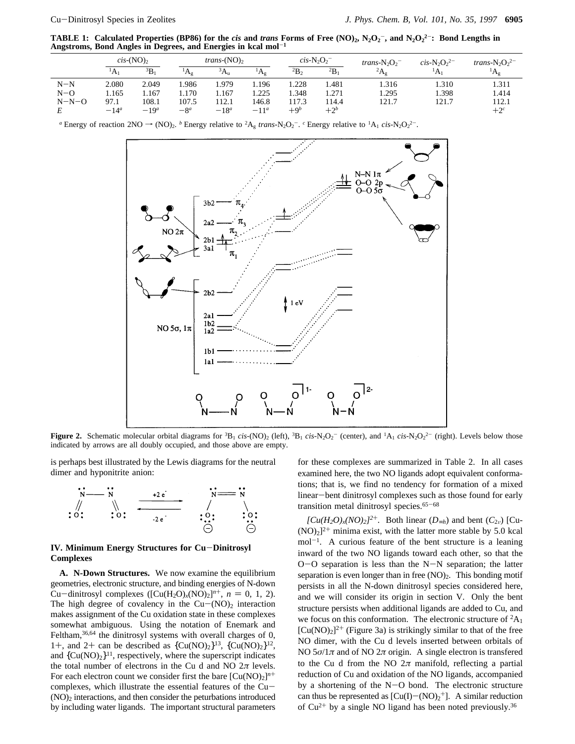**TABLE 1:** Calculated Properties (BP86) for the *cis* and *trans* Forms of Free  $(NO)_2$ ,  $N_2O_2^-$ , and  $N_2O_2^2^-$ : Bond Lengths in **Angstroms, Bond Angles in Degrees, and Energies in kcal mol**-**<sup>1</sup>**

|         | $cis$ -(NO) <sub>2</sub> |              | <i>trans</i> - $(NO)$ , |         | $cis$ -N <sub>2</sub> O <sub>2</sub> <sup>-</sup> |             | trans- $N_2O_2$ <sup>-</sup> | $cis-N2O22$    | trans- $N_2O_2^{2-}$ |                       |
|---------|--------------------------|--------------|-------------------------|---------|---------------------------------------------------|-------------|------------------------------|----------------|----------------------|-----------------------|
|         | 'A                       | $\rm{^{3}B}$ | $^{\prime}A_{\sigma}$   | $^3A_u$ | Άσ                                                | $^{2}B_{2}$ | $^{2}B_{1}$                  | ${}^2A_\sigma$ | <sup>1</sup> A       | $^{\prime}A_{\sigma}$ |
| $N-N$   | 2.080                    | 2.049        | .986                    | .979    | 1.196                                             | .228        | l.481                        | .316           | 1.310                | 1.311                 |
| $N-O$   | 1.165                    | .167         | .170                    | 1.167   | 1.225                                             | 1.348       | 1.271                        | .295           | 1.398                | 1.414                 |
| $N-N-O$ | 97.1                     | 108.1        | 107.5                   | 112.1   | 146.8                                             | 117.3       | 114.4                        | 121.7          | 121.7                | 112.1                 |
|         | $-14^a$                  | $-19a$       | $-8^a$                  | $-18^a$ | $-11^a$                                           | $+9b$       | $+2b$                        |                |                      | $+2^c$                |

*a* Energy of reaction  $2NO \rightarrow (NO)_2$ . *b* Energy relative to <sup>2</sup>A<sub>g</sub> *trans*-N<sub>2</sub>O<sub>2</sub><sup>-</sup>. *c* Energy relative to <sup>1</sup>A<sub>1</sub> *cis*-N<sub>2</sub>O<sub>2</sub><sup>2-</sup>.



**Figure 2.** Schematic molecular orbital diagrams for  ${}^{3}B_{1}$  *cis*-(NO)<sub>2</sub> (left),  ${}^{3}B_{1}$  *cis*-N<sub>2</sub>O<sub>2</sub><sup>-</sup> (center), and  ${}^{1}A_{1}$  *cis*-N<sub>2</sub>O<sub>2</sub><sup>2</sup> (right). Levels below those indicated by arrows are all doubly occupied, and those above are empty.

is perhaps best illustrated by the Lewis diagrams for the neutral dimer and hyponitrite anion:



#### **IV. Minimum Energy Structures for Cu**-**Dinitrosyl Complexes**

**A. N-Down Structures.** We now examine the equilibrium geometries, electronic structure, and binding energies of N-down Cu-dinitrosyl complexes ( $[Cu(H<sub>2</sub>O)<sub>x</sub>(NO)<sub>2</sub>]<sup>n+</sup>$ ,  $n = 0, 1, 2$ ). The high degree of covalency in the  $Cu - (NO)_2$  interaction makes assignment of the Cu oxidation state in these complexes somewhat ambiguous. Using the notation of Enemark and Feltham,<sup>36,64</sup> the dinitrosyl systems with overall charges of 0, 1+, and 2+ can be described as  ${Cu(NO)<sub>2</sub>}<sup>13</sup>$ ,  ${Cu(NO)<sub>2</sub>}<sup>12</sup>$ , and  ${Cu(NO)<sub>2</sub>}<sup>11</sup>$ , respectively, where the superscript indicates the total number of electrons in the Cu d and NO 2*π* levels. For each electron count we consider first the bare  $\left[\text{Cu}(\text{NO})_2\right]^{n+}$ complexes, which illustrate the essential features of the Cu- $(NO)_2$  interactions, and then consider the peturbations introduced by including water ligands. The important structural parameters

for these complexes are summarized in Table 2. In all cases examined here, the two NO ligands adopt equivalent conformations; that is, we find no tendency for formation of a mixed linear-bent dinitrosyl complexes such as those found for early transition metal dinitrosyl species.<sup>65-68</sup>

 $[Cu(H_2O)_x(NO)_2]^{2+}$ . Both linear  $(D_{\infty h})$  and bent  $(C_{2v})$  [Cu- $(NO)_2$ <sup>2+</sup> minima exist, with the latter more stable by 5.0 kcal  $mol^{-1}$ . A curious feature of the bent structure is a leaning inward of the two NO ligands toward each other, so that the  $O-O$  separation is less than the N-N separation; the latter separation is even longer than in free  $(NO)<sub>2</sub>$ . This bonding motif persists in all the N-down dinitrosyl species considered here, and we will consider its origin in section V. Only the bent structure persists when additional ligands are added to Cu, and we focus on this conformation. The electronic structure of  ${}^{2}A_{1}$  $[Cu(NO)<sub>2</sub>]^{2+}$  (Figure 3a) is strikingly similar to that of the free NO dimer, with the Cu d levels inserted between orbitals of NO  $5\sigma/1\pi$  and of NO  $2\pi$  origin. A single electron is transferred to the Cu d from the NO  $2\pi$  manifold, reflecting a partial reduction of Cu and oxidation of the NO ligands, accompanied by a shortening of the N-O bond. The electronic structure can thus be represented as  $[Cu(I) - (NO)<sub>2</sub><sup>+</sup>]$ . A similar reduction of  $Cu^{2+}$  by a single NO ligand has been noted previously.<sup>36</sup>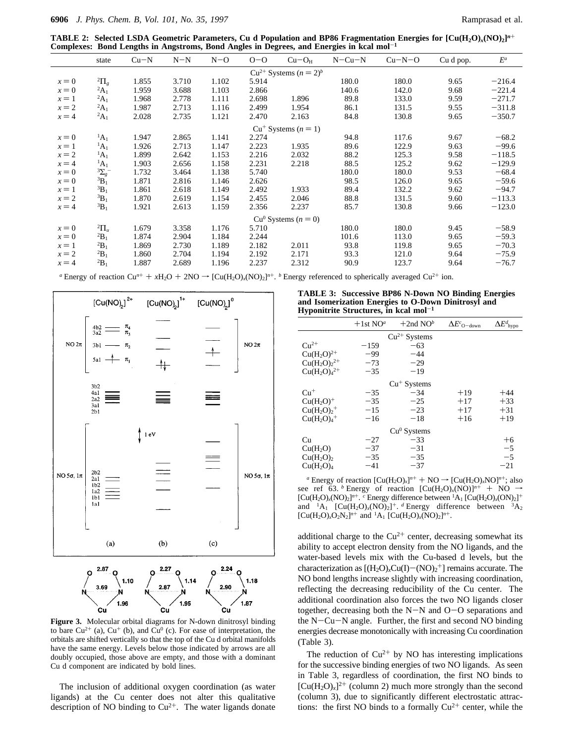**TABLE 2: Selected LSDA Geometric Parameters, Cu d Population and BP86 Fragmentation Energies for [Cu(H2O)***x***(NO)2]***<sup>n</sup>*<sup>+</sup> **Complexes: Bond Lengths in Angstroms, Bond Angles in Degrees, and Energies in kcal mol**-**<sup>1</sup>**

| <u> Dona Bengeno in Tingoetomoj Dona Tingres in Degreesj ana Birelgies in near mol</u> |                                 |        |       |       |       |                               |              |          |           |          |
|----------------------------------------------------------------------------------------|---------------------------------|--------|-------|-------|-------|-------------------------------|--------------|----------|-----------|----------|
|                                                                                        | state                           | $Cu-N$ | $N-N$ | $N=0$ | $O-O$ | $Cu-OH$                       | $N - Cu - N$ | $Cu-N-O$ | Cu d pop. | $E^a$    |
|                                                                                        |                                 |        |       |       |       | $Cu^{2+}$ Systems $(n = 2)^b$ |              |          |           |          |
| $x = 0$                                                                                | <sup>2</sup> $\Pi$ <sub>g</sub> | 1.855  | 3.710 | 1.102 | 5.914 |                               | 180.0        | 180.0    | 9.65      | $-216.4$ |
| $x = 0$                                                                                | ${}^2A_1$                       | 1.959  | 3.688 | 1.103 | 2.866 |                               | 140.6        | 142.0    | 9.68      | $-221.4$ |
| $x=1$                                                                                  | ${}^2A_1$                       | 1.968  | 2.778 | 1.111 | 2.698 | 1.896                         | 89.8         | 133.0    | 9.59      | $-271.7$ |
| $x = 2$                                                                                | ${}^2A_1$                       | 1.987  | 2.713 | 1.116 | 2.499 | 1.954                         | 86.1         | 131.5    | 9.55      | $-311.8$ |
| $x = 4$                                                                                | ${}^2A_1$                       | 2.028  | 2.735 | 1.121 | 2.470 | 2.163                         | 84.8         | 130.8    | 9.65      | $-350.7$ |
|                                                                                        |                                 |        |       |       |       | $Cu^+$ Systems $(n = 1)$      |              |          |           |          |
| $x = 0$                                                                                | $^1A_1$                         | 1.947  | 2.865 | 1.141 | 2.274 |                               | 94.8         | 117.6    | 9.67      | $-68.2$  |
| $x=1$                                                                                  | $^1A_1$                         | 1.926  | 2.713 | 1.147 | 2.223 | 1.935                         | 89.6         | 122.9    | 9.63      | $-99.6$  |
| $x = 2$                                                                                | $^1A_1$                         | 1.899  | 2.642 | 1.153 | 2.216 | 2.032                         | 88.2         | 125.3    | 9.58      | $-118.5$ |
| $x = 4$                                                                                | $^1A_1$                         | 1.903  | 2.656 | 1.158 | 2.231 | 2.218                         | 88.5         | 125.2    | 9.62      | $-129.9$ |
| $x = 0$                                                                                | $3\Sigma_g$ -                   | 1.732  | 3.464 | 1.138 | 5.740 |                               | 180.0        | 180.0    | 9.53      | $-68.4$  |
| $x = 0$                                                                                | ${}^{3}B_1$                     | 1.871  | 2.816 | 1.146 | 2.626 |                               | 98.5         | 126.0    | 9.65      | $-59.6$  |
| $x=1$                                                                                  | ${}^{3}B_1$                     | 1.861  | 2.618 | 1.149 | 2.492 | 1.933                         | 89.4         | 132.2    | 9.62      | $-94.7$  |
| $x = 2$                                                                                | ${}^3B_1$                       | 1.870  | 2.619 | 1.154 | 2.455 | 2.046                         | 88.8         | 131.5    | 9.60      | $-113.3$ |
| $x = 4$                                                                                | ${}^3B_1$                       | 1.921  | 2.613 | 1.159 | 2.356 | 2.237                         | 85.7         | 130.8    | 9.66      | $-123.0$ |
|                                                                                        |                                 |        |       |       |       | $Cu^{0}$ Systems $(n = 0)$    |              |          |           |          |
| $x = 0$                                                                                | ${}^2\Pi_u$                     | 1.679  | 3.358 | 1.176 | 5.710 |                               | 180.0        | 180.0    | 9.45      | $-58.9$  |
| $x = 0$                                                                                | $^{2}B_1$                       | 1.874  | 2.904 | 1.184 | 2.244 |                               | 101.6        | 113.0    | 9.65      | $-59.3$  |
| $x=1$                                                                                  | $^{2}B_{1}$                     | 1.869  | 2.730 | 1.189 | 2.182 | 2.011                         | 93.8         | 119.8    | 9.65      | $-70.3$  |
| $x = 2$                                                                                | $^{2}B_{1}$                     | 1.860  | 2.704 | 1.194 | 2.192 | 2.171                         | 93.3         | 121.0    | 9.64      | $-75.9$  |
| $x = 4$                                                                                | ${}^2B_1$                       | 1.887  | 2.689 | 1.196 | 2.237 | 2.312                         | 90.9         | 123.7    | 9.64      | $-76.7$  |
|                                                                                        |                                 |        |       |       |       |                               |              |          |           |          |

*a* Energy of reaction Cu<sup>n+</sup> +  $xH_2O + 2NO \rightarrow [Cu(H_2O)_x(NO)_2]^{n^+}$ . *b* Energy referenced to spherically averaged Cu<sup>2+</sup> ion.





**Figure 3.** Molecular orbital diagrams for N-down dinitrosyl binding to bare  $Cu^{2+}$  (a),  $Cu^{+}$  (b), and  $Cu^{0}$  (c). For ease of interpretation, the orbitals are shifted vertically so that the top of the Cu d orbital manifolds have the same energy. Levels below those indicated by arrows are all doubly occupied, those above are empty, and those with a dominant Cu d component are indicated by bold lines.

The inclusion of additional oxygen coordination (as water ligands) at the Cu center does not alter this qualitative description of NO binding to  $Cu^{2+}$ . The water ligands donate

**TABLE 3: Successive BP86 N-Down NO Binding Energies and Isomerization Energies to O-Down Dinitrosyl and Hyponitrite Structures, in kcal mol**-**<sup>1</sup>**

|                                   | $+1st NOa$ | $+2$ nd NO <sup>b</sup>   | $\Delta E^c$ o-down | $\Delta E^d$ <sub>hypo</sub> |  |  |  |  |
|-----------------------------------|------------|---------------------------|---------------------|------------------------------|--|--|--|--|
| $Cu^{2+}$ Systems                 |            |                           |                     |                              |  |  |  |  |
| $Cu2+$                            | $-159$     | $-63$                     |                     |                              |  |  |  |  |
| $Cu(H2O)2+$                       | $-99$      | $-44$                     |                     |                              |  |  |  |  |
| $Cu(H2O)22+$                      | $-73$      | $-29$                     |                     |                              |  |  |  |  |
| $Cu(H2O)42+$                      | $-35$      | $-19$                     |                     |                              |  |  |  |  |
|                                   |            | $Cu$ <sup>+</sup> Systems |                     |                              |  |  |  |  |
| $Cu+$                             | $-35$      | $-34$                     | $+19$               | $+44$                        |  |  |  |  |
| $Cu(H2O)+$                        | $-35$      | $-25$                     | $+17$               | $+33$                        |  |  |  |  |
| $Cu(H2O)2$ <sup>+</sup>           | $-15$      | $-23$                     | $+17$               | $+31$                        |  |  |  |  |
| $Cu(H2O)4$ <sup>+</sup>           | $-16$      | $-18$                     | $+16$               | $+19$                        |  |  |  |  |
|                                   |            | $Cu0$ Systems             |                     |                              |  |  |  |  |
| Cu                                | $-27$      | $-33$                     |                     | $+6$                         |  |  |  |  |
| Cu(H <sub>2</sub> O)              | $-37$      | $-31$                     |                     | $-5$                         |  |  |  |  |
| Cu(H <sub>2</sub> O) <sub>2</sub> | $-35$      | $-35$                     |                     | $-5$                         |  |  |  |  |
| Cu(H <sub>2</sub> O) <sub>4</sub> | $-41$      | $-37$                     |                     | $-21$                        |  |  |  |  |

*a* Energy of reaction  $[Cu(H<sub>2</sub>O)<sub>x</sub>]<sup>n+</sup> + NO \rightarrow [Cu(H<sub>2</sub>O)<sub>x</sub>NO]<sup>n+</sup>; also$ see ref 63. *b* Energy of reaction  $[Cu(H<sub>2</sub>O)<sub>x</sub>(NO)]^{n+} + NO \rightarrow$  $\left[ \text{Cu}(H_2O)_{x}(NO)_2 \right]^{n^+}$ .  $\sim$  Energy difference between <sup>1</sup>A<sub>1</sub>  $\left[ \text{Cu}(H_2O)_{x}(ON)_2 \right]^{+}$ and <sup>1</sup>A<sub>1</sub> [Cu(H<sub>2</sub>O)<sub>x</sub>(NO)<sub>2</sub>]<sup>+</sup>. <sup>*d*</sup> Energy difference between <sup>3</sup>A<sub>2</sub>  $[Cu(H<sub>2</sub>O)<sub>x</sub>O<sub>2</sub>N<sub>2</sub>]<sup>n+</sup>$  and <sup>1</sup>A<sub>1</sub>  $[Cu(H<sub>2</sub>O)<sub>x</sub>(NO)<sub>2</sub>]<sup>n+</sup>$ .

additional charge to the  $Cu^{2+}$  center, decreasing somewhat its ability to accept electron density from the NO ligands, and the water-based levels mix with the Cu-based d levels, but the characterization as  $[(H_2O)_xCu(I) - (NO)_2^+]$  remains accurate. The NO bond lengths increase slightly with increasing coordination, reflecting the decreasing reducibility of the Cu center. The additional coordination also forces the two NO ligands closer together, decreasing both the N-N and O-O separations and the  $N-Cu-N$  angle. Further, the first and second NO binding energies decrease monotonically with increasing Cu coordination (Table 3).

The reduction of  $Cu^{2+}$  by NO has interesting implications for the successive binding energies of two NO ligands. As seen in Table 3, regardless of coordination, the first NO binds to  $[Cu(H<sub>2</sub>O)<sub>x</sub>]^{2+}$  (column 2) much more strongly than the second (column 3), due to significantly different electrostatic attractions: the first NO binds to a formally  $Cu^{2+}$  center, while the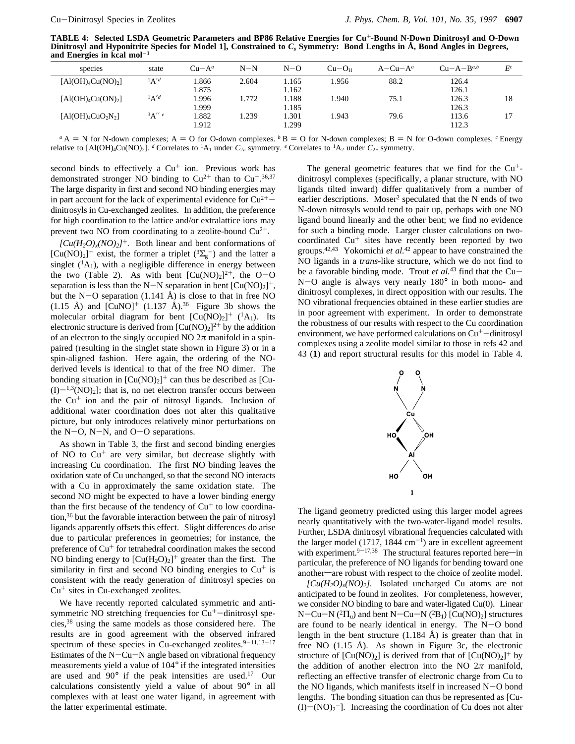**TABLE 4: Selected LSDA Geometric Parameters and BP86 Relative Energies for Cu**<sup>+</sup>**-Bound N-Down Dinitrosyl and O-Down Dinitrosyl and Hyponitrite Species for Model 1], Constrained to** *Cs* **Symmetry: Bond Lengths in Å, Bond Angles in Degrees, and Energies in kcal mol**-**<sup>1</sup>**

| species                                                      | state  | $Cu-A^a$      | $N-N$ | $N=0$          | $Cu-OH$ | $A-Cu-A^a$ | $Cu-A-Ba,b$    | $E^c$ |
|--------------------------------------------------------------|--------|---------------|-------|----------------|---------|------------|----------------|-------|
| $\left[\text{Al}(\text{OH})_4\text{Cu}(\text{NO})_2\right]$  | $A'^d$ | .866<br>l.875 | 2.604 | 1.165<br>1.162 | .956    | 88.2       | 126.4<br>126.1 |       |
| $\lceil \text{Al}(\text{OH})_4\text{Cu}(\text{ON})_2 \rceil$ | $A'^d$ | .996<br>.999  | 1.772 | 1.188<br>1.185 | .940    | 75.1       | 126.3<br>126.3 | 18    |
| $[AI(OH)4CuO2N2]$                                            | 3A''e  | .882<br>1.912 | .239  | 1.301<br>1.299 | .943    | 79.6       | 113.6<br>112.3 | 17    |

 $^a$  A = N for N-down complexes; A = O for O-down complexes.  $^b$  B = O for N-down complexes; B = N for O-down complexes. <sup>*c*</sup> Energy relative to  $[A(OH)_4Cu(NO)_2]$ . *d* Correlates to <sup>1</sup>A<sub>1</sub> under  $C_{2\nu}$  symmetry. *e* Correlates to <sup>1</sup>A<sub>2</sub> under  $C_{2\nu}$  symmetry.

second binds to effectively a Cu<sup>+</sup> ion. Previous work has demonstrated stronger NO binding to  $Cu^{2+}$  than to  $Cu^{+,36,37}$ The large disparity in first and second NO binding energies may in part account for the lack of experimental evidence for  $Cu^{2+}$ dinitrosyls in Cu-exchanged zeolites. In addition, the preference for high coordination to the lattice and/or extralattice ions may prevent two NO from coordinating to a zeolite-bound  $Cu^{2+}$ .

 $[Cu(H_2O)_x(NO)_2]^+$ . Both linear and bent conformations of  $[Cu(NO)<sub>2</sub>]$ <sup>+</sup> exist, the former a triplet (<sup>3</sup> $\Sigma$ <sub>g</sub><sup>-</sup>) and the latter a singlet  $({}^{1}A_{1})$ , with a negligible difference in energy between the two (Table 2). As with bent  $[Cu(NO)_2]^2^+$ , the O-O separation is less than the N-N separation in bent  $[Cu(NO)<sub>2</sub>]$ <sup>+</sup>, but the N-O separation (1.141 Å) is close to that in free NO (1.15 Å) and  $\text{[CuNO]}^+$  (1.137 Å).<sup>36</sup> Figure 3b shows the molecular orbital diagram for bent  $[Cu(NO)<sub>2</sub>]$ <sup>+</sup> (<sup>1</sup>A<sub>1</sub>). Its electronic structure is derived from  $[Cu(NO)<sub>2</sub>]^{2+}$  by the addition of an electron to the singly occupied NO  $2\pi$  manifold in a spinpaired (resulting in the singlet state shown in Figure 3) or in a spin-aligned fashion. Here again, the ordering of the NOderived levels is identical to that of the free NO dimer. The bonding situation in  $[Cu(NO)<sub>2</sub>]$ <sup>+</sup> can thus be described as [Cu- $(I)$  $-1,3(NO)_2$ ; that is, no net electron transfer occurs between the  $Cu<sup>+</sup>$  ion and the pair of nitrosyl ligands. Inclusion of additional water coordination does not alter this qualitative picture, but only introduces relatively minor perturbations on the N-O, N-N, and  $O-O$  separations.

As shown in Table 3, the first and second binding energies of NO to  $Cu<sup>+</sup>$  are very similar, but decrease slightly with increasing Cu coordination. The first NO binding leaves the oxidation state of Cu unchanged, so that the second NO interacts with a Cu in approximately the same oxidation state. The second NO might be expected to have a lower binding energy than the first because of the tendency of  $Cu<sup>+</sup>$  to low coordination,36 but the favorable interaction between the pair of nitrosyl ligands apparently offsets this effect. Slight differences do arise due to particular preferences in geometries; for instance, the preference of Cu<sup>+</sup> for tetrahedral coordination makes the second NO binding energy to  $[Cu(H_2O)_2]^+$  greater than the first. The similarity in first and second NO binding energies to  $Cu<sup>+</sup>$  is consistent with the ready generation of dinitrosyl species on  $Cu<sup>+</sup>$  sites in Cu-exchanged zeolites.

We have recently reported calculated symmetric and antisymmetric NO stretching frequencies for  $Cu<sup>+</sup>-dimitrosyl$  species,38 using the same models as those considered here. The results are in good agreement with the observed infrared spectrum of these species in Cu-exchanged zeolites. $9-11,13-17$ Estimates of the  $N-Cu-N$  angle based on vibrational frequency measurements yield a value of 104° if the integrated intensities are used and  $90^{\circ}$  if the peak intensities are used.<sup>17</sup> Our calculations consistently yield a value of about 90° in all complexes with at least one water ligand, in agreement with the latter experimental estimate.

The general geometric features that we find for the  $Cu<sup>+</sup>$ dinitrosyl complexes (specifically, a planar structure, with NO ligands tilted inward) differ qualitatively from a number of earlier descriptions. Moser<sup>2</sup> speculated that the N ends of two N-down nitrosyls would tend to pair up, perhaps with one NO ligand bound linearly and the other bent; we find no evidence for such a binding mode. Larger cluster calculations on twocoordinated  $Cu<sup>+</sup>$  sites have recently been reported by two groups.42,43 Yokomichi *et al.*<sup>42</sup> appear to have constrained the NO ligands in a *trans*-like structure, which we do not find to be a favorable binding mode. Trout *et al.*<sup>43</sup> find that the Cu-N-O angle is always very nearly 180° in both mono- and dinitrosyl complexes, in direct opposition with our results. The NO vibrational frequencies obtained in these earlier studies are in poor agreement with experiment. In order to demonstrate the robustness of our results with respect to the Cu coordination environment, we have performed calculations on  $Cu<sup>+</sup>-dimitrosyl$ complexes using a zeolite model similar to those in refs 42 and 43 (**1**) and report structural results for this model in Table 4.



The ligand geometry predicted using this larger model agrees nearly quantitatively with the two-water-ligand model results. Further, LSDA dinitrosyl vibrational frequencies calculated with the larger model (1717, 1844  $cm^{-1}$ ) are in excellent agreement with experiment.<sup>9-17,38</sup> The structural features reported here—in particular, the preference of NO ligands for bending toward one another-are robust with respect to the choice of zeolite model.

 $[Cu(H_2O)_x(NO)_2]$ . Isolated uncharged Cu atoms are not anticipated to be found in zeolites. For completeness, however, we consider NO binding to bare and water-ligated Cu(0). Linear N-Cu-N ( ${}^{2}$  $\Pi_{\rm u}$ ) and bent N-Cu-N ( ${}^{2}$ B<sub>1</sub>) [Cu(NO)<sub>2</sub>] structures are found to be nearly identical in energy. The N-O bond length in the bent structure  $(1.184 \text{ Å})$  is greater than that in free NO (1.15 Å). As shown in Figure 3c, the electronic structure of  $[Cu(NO)_2]$  is derived from that of  $[Cu(NO)_2]^+$  by the addition of another electron into the NO  $2\pi$  manifold, reflecting an effective transfer of electronic charge from Cu to the NO ligands, which manifests itself in increased  $N-O$  bond lengths. The bonding situation can thus be represented as [Cu-  $(I)$ -(NO)<sub>2</sub><sup>-</sup>]. Increasing the coordination of Cu does not alter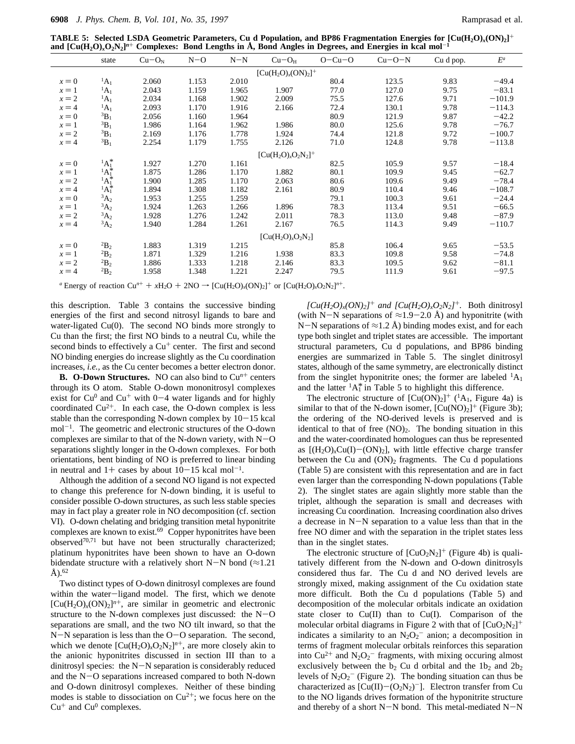**TABLE 5: Selected LSDA Geometric Parameters, Cu d Population, and BP86 Fragmentation Energies for [Cu(H2O)***x***(ON)2]**<sup>+</sup> and  $[Cu(H_2O)_xO_2N_2]^n$ <sup>+</sup> Complexes: Bond Lengths in Å, Bond Angles in Degrees, and Energies in kcal mol<sup>-1</sup>

|                        | state                              | $Cu-ON$ | $N-O$ | $N-N$ | $Cu-OH$          | $O-Cu-O$ | $Cu-O-N$ | Cu d pop. | $E^a$    |  |
|------------------------|------------------------------------|---------|-------|-------|------------------|----------|----------|-----------|----------|--|
| $[Cu(H_2O)_x(ON)_2]^+$ |                                    |         |       |       |                  |          |          |           |          |  |
| $x = 0$                | $^1A_1$                            | 2.060   | 1.153 | 2.010 |                  | 80.4     | 123.5    | 9.83      | $-49.4$  |  |
| $x=1$                  | $^1A_1$                            | 2.043   | 1.159 | 1.965 | 1.907            | 77.0     | 127.0    | 9.75      | $-83.1$  |  |
| $x = 2$                | $^1A_1$                            | 2.034   | 1.168 | 1.902 | 2.009            | 75.5     | 127.6    | 9.71      | $-101.9$ |  |
| $x = 4$                | $^1A_1$                            | 2.093   | 1.170 | 1.916 | 2.166            | 72.4     | 130.1    | 9.78      | $-114.3$ |  |
| $x = 0$                | ${}^3B_1$                          | 2.056   | 1.160 | 1.964 |                  | 80.9     | 121.9    | 9.87      | $-42.2$  |  |
| $x=1$                  | ${}^3B_1$                          | 1.986   | 1.164 | 1.962 | 1.986            | 80.0     | 125.6    | 9.78      | $-76.7$  |  |
| $x = 2$                | ${}^3B_1$                          | 2.169   | 1.176 | 1.778 | 1.924            | 74.4     | 121.8    | 9.72      | $-100.7$ |  |
| $x = 4$                | ${}^3B_1$                          | 2.254   | 1.179 | 1.755 | 2.126            | 71.0     | 124.8    | 9.78      | $-113.8$ |  |
| $[Cu(H_2O)_xO_2N_2]^+$ |                                    |         |       |       |                  |          |          |           |          |  |
| $x = 0$                | $^{1}A_{1}^{*}$                    | 1.927   | 1.270 | 1.161 |                  | 82.5     | 105.9    | 9.57      | $-18.4$  |  |
| $x=1$                  | $^{1}A_{1}^{*}$<br>$^{1}A_{1}^{*}$ | 1.875   | 1.286 | 1.170 | 1.882            | 80.1     | 109.9    | 9.45      | $-62.7$  |  |
| $x = 2$                |                                    | 1.900   | 1.285 | 1.170 | 2.063            | 80.6     | 109.6    | 9.49      | $-78.4$  |  |
| $x = 4$                | $^{1}A_{1}^{*}$                    | 1.894   | 1.308 | 1.182 | 2.161            | 80.9     | 110.4    | 9.46      | $-108.7$ |  |
| $x = 0$                | ${}^3A_2$                          | 1.953   | 1.255 | 1.259 |                  | 79.1     | 100.3    | 9.61      | $-24.4$  |  |
| $x=1$                  | ${}^3A_2$                          | 1.924   | 1.263 | 1.266 | 1.896            | 78.3     | 113.4    | 9.51      | $-66.5$  |  |
| $x = 2$                | $A_2$                              | 1.928   | 1.276 | 1.242 | 2.011            | 78.3     | 113.0    | 9.48      | $-87.9$  |  |
| $x = 4$                | ${}^3A_2$                          | 1.940   | 1.284 | 1.261 | 2.167            | 76.5     | 114.3    | 9.49      | $-110.7$ |  |
|                        |                                    |         |       |       | $[Cu(H2O)xO2N2]$ |          |          |           |          |  |
| $x = 0$                | $^{2}B_{2}$                        | 1.883   | 1.319 | 1.215 |                  | 85.8     | 106.4    | 9.65      | $-53.5$  |  |
| $x=1$                  | $^{2}B_{2}$                        | 1.871   | 1.329 | 1.216 | 1.938            | 83.3     | 109.8    | 9.58      | $-74.8$  |  |
| $x = 2$                | $^{2}B_{2}$                        | 1.886   | 1.333 | 1.218 | 2.146            | 83.3     | 109.5    | 9.62      | $-81.1$  |  |
| $x = 4$                | $^{2}B_{2}$                        | 1.958   | 1.348 | 1.221 | 2.247            | 79.5     | 111.9    | 9.61      | $-97.5$  |  |
|                        |                                    |         |       |       |                  |          |          |           |          |  |

*a* Energy of reaction  $Cu^{n+} + xH_2O + 2NO \rightarrow [Cu(H_2O)_x(ON)_2]^+$  or  $[Cu(H_2O)_xO_2N_2]^{n+}$ .

this description. Table 3 contains the successive binding energies of the first and second nitrosyl ligands to bare and water-ligated Cu(0). The second NO binds more strongly to Cu than the first; the first NO binds to a neutral Cu, while the second binds to effectively a  $Cu<sup>+</sup>$  center. The first and second NO binding energies do increase slightly as the Cu coordination increases, *i.e.,* as the Cu center becomes a better electron donor.

**B.** O-Down Structures. NO can also bind to  $Cu^{n+}$  centers through its O atom. Stable O-down mononitrosyl complexes exist for  $Cu<sup>0</sup>$  and  $Cu<sup>+</sup>$  with 0-4 water ligands and for highly coordinated  $Cu^{2+}$ . In each case, the O-down complex is less stable than the corresponding N-down complex by  $10-15$  kcal  $mol^{-1}$ . The geometric and electronic structures of the O-down complexes are similar to that of the N-down variety, with  $N-O$ separations slightly longer in the O-down complexes. For both orientations, bent binding of NO is preferred to linear binding in neutral and  $1+$  cases by about  $10-15$  kcal mol<sup>-1</sup>.

Although the addition of a second NO ligand is not expected to change this preference for N-down binding, it is useful to consider possible O-down structures, as such less stable species may in fact play a greater role in NO decomposition (cf. section VI). O-down chelating and bridging transition metal hyponitrite complexes are known to exist.<sup>69</sup> Copper hyponitrites have been observed<sup>70,71</sup> but have not been structurally characterized; platinum hyponitrites have been shown to have an O-down bidendate structure with a relatively short N-N bond ( $\approx$ 1.21  $A)$ .<sup>62</sup>

Two distinct types of O-down dinitrosyl complexes are found within the water-ligand model. The first, which we denote  $[Cu(H<sub>2</sub>O)<sub>x</sub>(ON)<sub>2</sub>]<sup>n+</sup>$ , are similar in geometric and electronic structure to the N-down complexes just discussed: the N-O separations are small, and the two NO tilt inward, so that the N-N separation is less than the O-O separation. The second, which we denote  $[Cu(H<sub>2</sub>O)<sub>x</sub>O<sub>2</sub>N<sub>2</sub>]<sup>n+</sup>$ , are more closely akin to the anionic hyponitrites discussed in section III than to a dinitrosyl species: the N-N separation is considerably reduced and the N-O separations increased compared to both N-down and O-down dinitrosyl complexes. Neither of these binding modes is stable to dissociation on  $Cu^{2+}$ ; we focus here on the  $Cu<sup>+</sup>$  and  $Cu<sup>0</sup>$  complexes.

 $[Cu(H_2O)_x(ON)_2]^+$  *and*  $[Cu(H_2O)_xO_2N_2]^+$ . Both dinitrosyl (with N-N separations of  $\approx$ 1.9-2.0 Å) and hyponitrite (with N-N separations of  $\approx$ 1.2 Å) binding modes exist, and for each type both singlet and triplet states are accessible. The important structural parameters, Cu d populations, and BP86 binding energies are summarized in Table 5. The singlet dinitrosyl states, although of the same symmetry, are electronically distinct from the singlet hyponitrite ones; the former are labeled  ${}^{1}A_1$ and the latter  ${}^{1}A_{1}^{*}$  in Table 5 to highlight this difference.

The electronic structure of  $[Cu(ON)_2]^+$  (<sup>1</sup>A<sub>1</sub>, Figure 4a) is similar to that of the N-down isomer,  $[Cu(NO)<sub>2</sub>]$ <sup>+</sup> (Figure 3b); the ordering of the NO-derived levels is preserved and is identical to that of free  $(NO)_2$ . The bonding situation in this and the water-coordinated homologues can thus be represented as  $[(H_2O)_xCu(I)-(ON)_2]$ , with little effective charge transfer between the Cu and  $(ON)_2$  fragments. The Cu d populations (Table 5) are consistent with this representation and are in fact even larger than the corresponding N-down populations (Table 2). The singlet states are again slightly more stable than the triplet, although the separation is small and decreases with increasing Cu coordination. Increasing coordination also drives a decrease in N-N separation to a value less than that in the free NO dimer and with the separation in the triplet states less than in the singlet states.

The electronic structure of  $\left[\text{CuO}_2\text{N}_2\right]^+$  (Figure 4b) is qualitatively different from the N-down and O-down dinitrosyls considered thus far. The Cu d and NO derived levels are strongly mixed, making assignment of the Cu oxidation state more difficult. Both the Cu d populations (Table 5) and decomposition of the molecular orbitals indicate an oxidation state closer to Cu(II) than to Cu(I). Comparison of the molecular orbital diagrams in Figure 2 with that of  $[CuO<sub>2</sub>N<sub>2</sub>]<sup>+</sup>$ indicates a similarity to an  $N_2O_2$ <sup>-</sup> anion; a decomposition in terms of fragment molecular orbitals reinforces this separation into Cu<sup>2+</sup> and N<sub>2</sub>O<sub>2</sub><sup>-</sup> fragments, with mixing occuring almost exclusively between the  $b_2$  Cu d orbital and the  $1b_2$  and  $2b_2$ levels of  $N_2O_2$ <sup>-</sup> (Figure 2). The bonding situation can thus be characterized as  $\text{[Cu(II)-(O<sub>2</sub>N<sub>2</sub>)<sup>-</sup>]}$ . Electron transfer from Cu to the NO ligands drives formation of the hyponitrite structure and thereby of a short  $N-N$  bond. This metal-mediated  $N-N$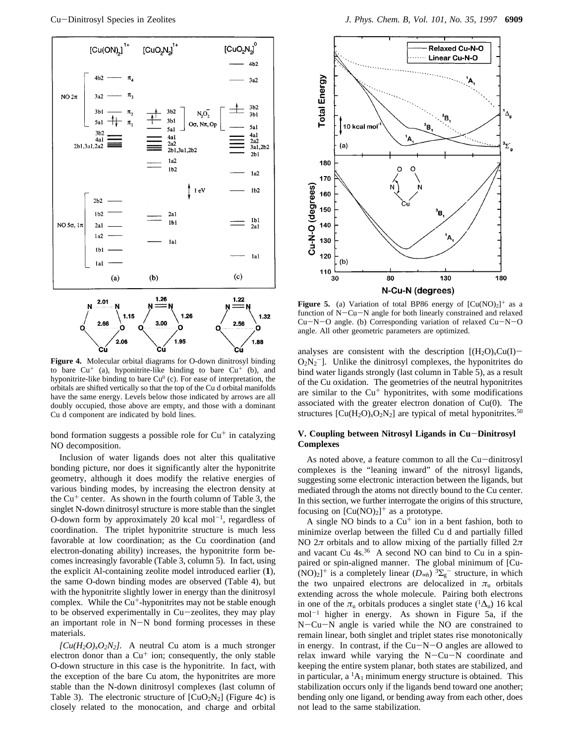

**Figure 4.** Molecular orbital diagrams for O-down dinitrosyl binding to bare  $Cu<sup>+</sup>$  (a), hyponitrite-like binding to bare  $Cu<sup>+</sup>$  (b), and hyponitrite-like binding to bare  $Cu^{0}$  (c). For ease of interpretation, the orbitals are shifted vertically so that the top of the Cu d orbital manifolds have the same energy. Levels below those indicated by arrows are all doubly occupied, those above are empty, and those with a dominant Cu d component are indicated by bold lines.

bond formation suggests a possible role for  $Cu<sup>+</sup>$  in catalyzing NO decomposition.

Inclusion of water ligands does not alter this qualitative bonding picture, nor does it significantly alter the hyponitrite geometry, although it does modify the relative energies of various binding modes, by increasing the electron density at the  $Cu<sup>+</sup>$  center. As shown in the fourth column of Table 3, the singlet N-down dinitrosyl structure is more stable than the singlet O-down form by approximately 20 kcal mol<sup>-1</sup>, regardless of coordination. The triplet hyponitrite structure is much less favorable at low coordination; as the Cu coordination (and electron-donating ability) increases, the hyponitrite form becomes increasingly favorable (Table 3, column 5). In fact, using the explicit Al-containing zeolite model introduced earlier (**1**), the same O-down binding modes are observed (Table 4), but with the hyponitrite slightly lower in energy than the dinitrosyl complex. While the  $Cu^+$ -hyponitrites may not be stable enough to be observed experimentally in Cu-zeolites, they may play an important role in  $N-N$  bond forming processes in these materials.

 $[Cu(H_2O)_xO_2N_2]$ . A neutral Cu atom is a much stronger electron donor than a  $Cu<sup>+</sup>$  ion; consequently, the only stable O-down structure in this case is the hyponitrite. In fact, with the exception of the bare Cu atom, the hyponitrites are more stable than the N-down dinitrosyl complexes (last column of Table 3). The electronic structure of  $\left[\text{CuO}_2\text{N}_2\right]$  (Figure 4c) is closely related to the monocation, and charge and orbital



**Figure 5.** (a) Variation of total BP86 energy of  $[Cu(NO)<sub>2</sub>]$ <sup>+</sup> as a function of N-Cu-N angle for both linearly constrained and relaxed Cu-N-O angle. (b) Corresponding variation of relaxed Cu-N-O angle. All other geometric parameters are optimized.

analyses are consistent with the description  $[(H_2O)_xCu(I)$  $O_2N_2$ <sup>-</sup>]. Unlike the dinitrosyl complexes, the hyponitrites do bind water ligands strongly (last column in Table 5), as a result of the Cu oxidation. The geometries of the neutral hyponitrites are similar to the  $Cu<sup>+</sup>$  hyponitrites, with some modifications associated with the greater electron donation of Cu(0). The structures  $\text{[Cu(H<sub>2</sub>O)<sub>x</sub>O<sub>2</sub>N<sub>2</sub>]}$  are typical of metal hyponitrites.<sup>50</sup>

### **V. Coupling between Nitrosyl Ligands in Cu**-**Dinitrosyl Complexes**

As noted above, a feature common to all the Cu-dinitrosyl complexes is the "leaning inward" of the nitrosyl ligands, suggesting some electronic interaction between the ligands, but mediated through the atoms not directly bound to the Cu center. In this section, we further interrogate the origins of this structure, focusing on  $[Cu(NO)<sub>2</sub>]$ <sup>+</sup> as a prototype.

A single NO binds to a  $Cu<sup>+</sup>$  ion in a bent fashion, both to minimize overlap between the filled Cu d and partially filled NO 2*π* orbitals and to allow mixing of the partially filled 2*π* and vacant Cu 4s.<sup>36</sup> A second NO can bind to Cu in a spinpaired or spin-aligned manner. The global minimum of [Cu-  $(NO)_2$ <sup>+</sup> is a completely linear  $(D_{\infty h})$   ${}^3\Sigma_g^-$  structure, in which the two unpaired electrons are delocalized in  $\pi_u$  orbitals extending across the whole molecule. Pairing both electrons in one of the  $\pi_u$  orbitals produces a singlet state (<sup>1</sup> $\Delta_u$ ) 16 kcal  $mol^{-1}$  higher in energy. As shown in Figure 5a, if the N-Cu-N angle is varied while the NO are constrained to remain linear, both singlet and triplet states rise monotonically in energy. In contrast, if the Cu-N-O angles are allowed to relax inward while varying the N-Cu-N coordinate and keeping the entire system planar, both states are stabilized, and in particular, a  ${}^{1}A_1$  minimum energy structure is obtained. This stabilization occurs only if the ligands bend toward one another; bending only one ligand, or bending away from each other, does not lead to the same stabilization.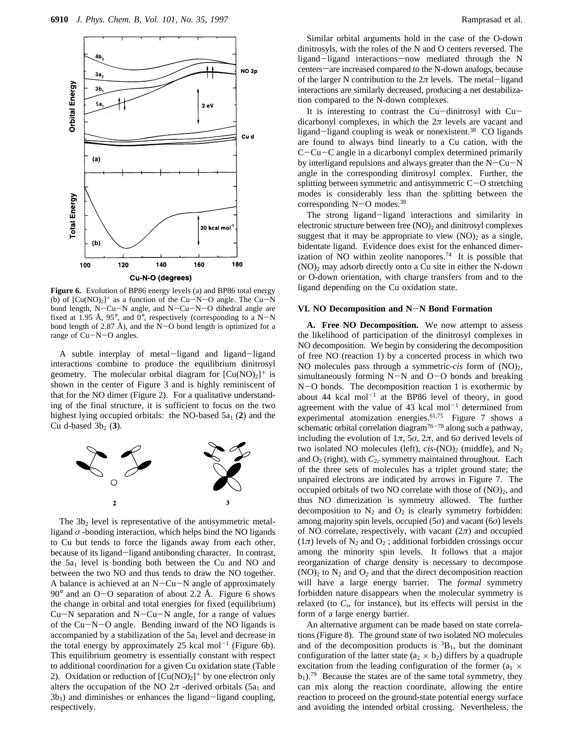

Figure 6. Evolution of BP86 energy levels (a) and BP86 total energy (b) of  $[Cu(NO)_2]^+$  as a function of the Cu-N-O angle. The Cu-N bond length, N-Cu-N angle, and N-Cu-N-O dihedral angle are fixed at 1.95 Å, 95 $^{\circ}$ , and 0 $^{\circ}$ , respectively (corresponding to a N-N bond length of 2.87 Å), and the  $N-O$  bond length is optimized for a range of Cu-N-O angles.

A subtle interplay of metal-ligand and ligand-ligand interactions combine to produce the equilibrium dinitrosyl geometry. The molecular orbital diagram for  $[Cu(NO)<sub>2</sub>]$ <sup>+</sup> is shown in the center of Figure 3 and is highly reminiscent of that for the NO dimer (Figure 2). For a qualitative understanding of the final structure, it is sufficient to focus on the two highest lying occupied orbitals: the NO-based  $5a_1$  (2) and the Cu d-based  $3b_2$  (3).



The  $3b_2$  level is representative of the antisymmetric metalligand  $\sigma$  -bonding interaction, which helps bind the NO ligands to Cu but tends to force the ligands away from each other, because of its ligand-ligand antibonding character. In contrast, the  $5a_1$  level is bonding both between the Cu and NO and between the two NO and thus tends to draw the NO together. A balance is achieved at an  $N-Cu-N$  angle of approximately  $90^\circ$  and an O-O separation of about 2.2 Å. Figure 6 shows the change in orbital and total energies for fixed (equilibrium)  $Cu-N$  separation and  $N-Cu-N$  angle, for a range of values of the Cu-N-O angle. Bending inward of the NO ligands is accompanied by a stabilization of the  $5a_1$  level and decrease in the total energy by approximately 25 kcal mol<sup>-1</sup> (Figure 6b). This equilibrium geometry is essentially constant with respect to additional coordination for a given Cu oxidation state (Table 2). Oxidation or reduction of  $[Cu(NO)<sub>2</sub>]$ <sup>+</sup> by one electron only alters the occupation of the NO  $2\pi$  -derived orbitals (5a<sub>1</sub> and  $3b<sub>1</sub>$ ) and diminishes or enhances the ligand-ligand coupling, respectively.

Similar orbital arguments hold in the case of the O-down dinitrosyls, with the roles of the N and O centers reversed. The ligand-ligand interactions-now mediated through the N centers—are increased compared to the N-down analogs, because of the larger N contribution to the  $2\pi$  levels. The metal-ligand interactions are similarly decreased, producing a net destabilization compared to the N-down complexes.

It is interesting to contrast the  $Cu$ -dinitrosyl with  $Cu$ dicarbonyl complexes, in which the  $2\pi$  levels are vacant and ligand-ligand coupling is weak or nonexistent.<sup>38</sup> CO ligands are found to always bind linearly to a Cu cation, with the C-Cu-C angle in a dicarbonyl complex determined primarily by interligand repulsions and always greater than the  $N-Cu-N$ angle in the corresponding dinitrosyl complex. Further, the splitting between symmetric and antisymmetric  $C-O$  stretching modes is considerably less than the splitting between the corresponding N-O modes.38

The strong ligand-ligand interactions and similarity in electronic structure between free  $(NO)_2$  and dinitrosyl complexes suggest that it may be appropriate to view  $(NO)_2$  as a single, bidentate ligand. Evidence does exist for the enhanced dimerization of NO within zeolite nanopores.<sup>74</sup> It is possible that  $(NO)_2$  may adsorb directly onto a Cu site in either the N-down or O-down orientation, with charge transfers from and to the ligand depending on the Cu oxidation state.

#### **VI. NO Decomposition and N**-**N Bond Formation**

**A. Free NO Decomposition.** We now attempt to assess the likelihood of participation of the dinitrosyl complexes in NO decomposition. We begin by considering the decomposition of free NO (reaction 1) by a concerted process in which two NO molecules pass through a symmetric-*cis* form of (NO)2, simultaneously forming  $N-N$  and  $O-O$  bonds and breaking N-O bonds. The decomposition reaction 1 is exothermic by about 44 kcal mol<sup>-1</sup> at the BP86 level of theory, in good agreement with the value of 43 kcal mol<sup>-1</sup> determined from experimental atomization energies.<sup>61,75</sup> Figure 7 shows a schematic orbital correlation diagram<sup>76-78</sup> along such a pathway, including the evolution of  $1\pi$ ,  $5\sigma$ ,  $2\pi$ , and  $6\sigma$  derived levels of two isolated NO molecules (left),  $cis$ -(NO)<sub>2</sub> (middle), and N<sub>2</sub> and  $O_2$  (right), with  $C_{2v}$  symmetry maintained throughout. Each of the three sets of molecules has a triplet ground state; the unpaired electrons are indicated by arrows in Figure 7. The occupied orbitals of two NO correlate with those of  $(NO)<sub>2</sub>$ , and thus NO dimerization is symmetry allowed. The further decomposition to  $N_2$  and  $O_2$  is clearly symmetry forbidden: among majority spin levels, occupied (5*σ*) and vacant (6*σ*) levels of NO correlate, respectively, with vacant (2*π*) and occupied  $(1\pi)$  levels of N<sub>2</sub> and O<sub>2</sub>; additional forbidden crossings occur among the minority spin levels. It follows that a major reorganization of charge density is necessary to decompose  $(NO)_2$  to  $N_2$  and  $O_2$  and that the direct decomposition reaction will have a large energy barrier. The *formal* symmetry forbidden nature disappears when the molecular symmetry is relaxed (to *Cs*, for instance), but its effects will persist in the form of a large energy barrier.

An alternative argument can be made based on state correlations (Figure 8). The ground state of two isolated NO molecules and of the decomposition products is  ${}^{3}B_{1}$ , but the dominant configuration of the latter state  $(a_2 \times b_2)$  differs by a quadruple excitation from the leading configuration of the former ( $a_1 \times$  $b_1$ ).<sup>79</sup> Because the states are of the same total symmetry, they can mix along the reaction coordinate, allowing the entire reaction to proceed on the ground-state potential energy surface and avoiding the intended orbital crossing. Nevertheless, the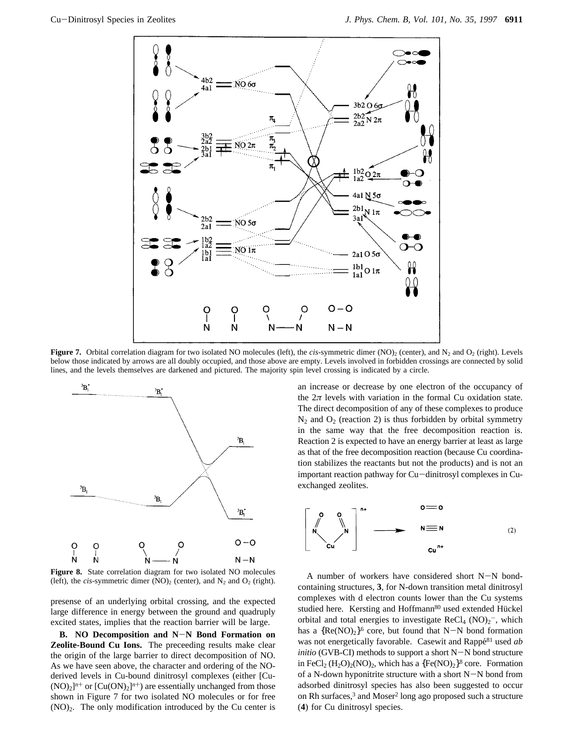

**Figure 7.** Orbital correlation diagram for two isolated NO molecules (left), the *cis*-symmetric dimer (NO)<sub>2</sub> (center), and N<sub>2</sub> and O<sub>2</sub> (right). Levels below those indicated by arrows are all doubly occupied, and those above are empty. Levels involved in forbidden crossings are connected by solid lines, and the levels themselves are darkened and pictured. The majority spin level crossing is indicated by a circle.



**Figure 8.** State correlation diagram for two isolated NO molecules (left), the *cis*-symmetric dimer  $(NO)_2$  (center), and  $N_2$  and  $O_2$  (right).

presense of an underlying orbital crossing, and the expected large difference in energy between the ground and quadruply excited states, implies that the reaction barrier will be large.

**B. NO Decomposition and N**-**N Bond Formation on Zeolite-Bound Cu Ions.** The preceeding results make clear the origin of the large barrier to direct decomposition of NO. As we have seen above, the character and ordering of the NOderived levels in Cu-bound dinitrosyl complexes (either [Cu-  $(NO)_2$ <sup>n+</sup> or  $[Cu(ON)_2]^{n+}$  are essentially unchanged from those shown in Figure 7 for two isolated NO molecules or for free (NO)2. The only modification introduced by the Cu center is an increase or decrease by one electron of the occupancy of the  $2\pi$  levels with variation in the formal Cu oxidation state. The direct decomposition of any of these complexes to produce  $N_2$  and  $O_2$  (reaction 2) is thus forbidden by orbital symmetry in the same way that the free decomposition reaction is. Reaction 2 is expected to have an energy barrier at least as large as that of the free decomposition reaction (because Cu coordination stabilizes the reactants but not the products) and is not an important reaction pathway for Cu-dinitrosyl complexes in Cuexchanged zeolites.



A number of workers have considered short N-N bondcontaining structures, **3**, for N-down transition metal dinitrosyl complexes with d electron counts lower than the Cu systems studied here. Kersting and Hoffmann<sup>80</sup> used extended Hückel orbital and total energies to investigate  $ReCl_4 (NO)_2^-$ , which has a  ${Re(NO)_2}^6$  core, but found that N-N bond formation was not energetically favorable. Casewit and Rappe<sup>81</sup> used *ab initio* (GVB-CI) methods to support a short N-N bond structure in FeCl<sub>2</sub> (H<sub>2</sub>O)<sub>2</sub>(NO)<sub>2</sub>, which has a  ${Fe(NO)_2}^8$  core. Formation of a N-down hyponitrite structure with a short  $N-N$  bond from adsorbed dinitrosyl species has also been suggested to occur on Rh surfaces, $3$  and Moser<sup>2</sup> long ago proposed such a structure (**4**) for Cu dinitrosyl species.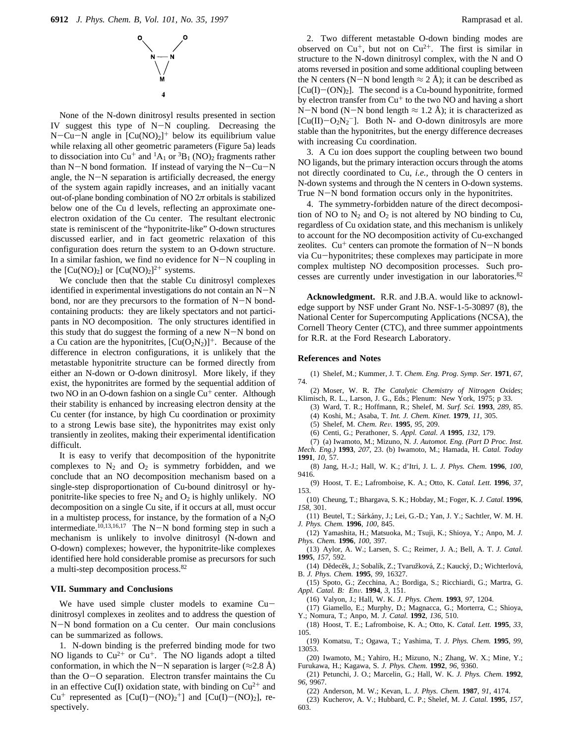

None of the N-down dinitrosyl results presented in section IV suggest this type of N-N coupling. Decreasing the N-Cu-N angle in  $[Cu(NO)_2]^+$  below its equilibrium value while relaxing all other geometric parameters (Figure 5a) leads to dissociation into Cu<sup>+</sup> and <sup>1</sup>A<sub>1</sub> or <sup>3</sup>B<sub>1</sub> (NO)<sub>2</sub> fragments rather than  $N-N$  bond formation. If instead of varying the  $N-Cu-N$ angle, the  $N-N$  separation is artificially decreased, the energy of the system again rapidly increases, and an initially vacant out-of-plane bonding combination of NO  $2\pi$  orbitals is stabilized below one of the Cu d levels, reflecting an approximate oneelectron oxidation of the Cu center. The resultant electronic state is reminiscent of the "hyponitrite-like" O-down structures discussed earlier, and in fact geometric relaxation of this configuration does return the system to an O-down structure. In a similar fashion, we find no evidence for  $N-N$  coupling in the  $[Cu(NO)_2]$  or  $[Cu(NO)_2]^{2+}$  systems.

We conclude then that the stable Cu dinitrosyl complexes identified in experimental investigations do not contain an N-N bond, nor are they precursors to the formation of  $N-N$  bondcontaining products: they are likely spectators and not participants in NO decomposition. The only structures identified in this study that do suggest the forming of a new  $N-N$  bond on a Cu cation are the hyponitrites,  $[Cu(O<sub>2</sub>N<sub>2</sub>)]<sup>+</sup>$ . Because of the difference in electron configurations, it is unlikely that the metastable hyponitrite structure can be formed directly from either an N-down or O-down dinitrosyl. More likely, if they exist, the hyponitrites are formed by the sequential addition of two NO in an O-down fashion on a single  $Cu<sup>+</sup>$  center. Although their stability is enhanced by increasing electron density at the Cu center (for instance, by high Cu coordination or proximity to a strong Lewis base site), the hyponitrites may exist only transiently in zeolites, making their experimental identification difficult.

It is easy to verify that decomposition of the hyponitrite complexes to  $N_2$  and  $O_2$  is symmetry forbidden, and we conclude that an NO decomposition mechanism based on a single-step disproportionation of Cu-bound dinitrosyl or hyponitrite-like species to free  $N_2$  and  $O_2$  is highly unlikely. NO decomposition on a single Cu site, if it occurs at all, must occur in a multistep process, for instance, by the formation of a  $N_2O$ intermediate.<sup>10,13,16,17</sup> The N-N bond forming step in such a mechanism is unlikely to involve dinitrosyl (N-down and O-down) complexes; however, the hyponitrite-like complexes identified here hold considerable promise as precursors for such a multi-step decomposition process.82

#### **VII. Summary and Conclusions**

We have used simple cluster models to examine Cudinitrosyl complexes in zeolites and to address the question of N-N bond formation on a Cu center. Our main conclusions can be summarized as follows.

1. N-down binding is the preferred binding mode for two NO ligands to  $Cu^{2+}$  or  $Cu^{+}$ . The NO ligands adopt a tilted conformation, in which the N-N separation is larger ( $\approx$ 2.8 Å) than the O-O separation. Electron transfer maintains the Cu in an effective Cu(I) oxidation state, with binding on  $Cu^{2+}$  and Cu<sup>+</sup> represented as  $[Cu(I) - (NO)_2^+]$  and  $[Cu(I) - (NO)_2]$ , respectively.

2. Two different metastable O-down binding modes are observed on  $Cu^+$ , but not on  $Cu^{2+}$ . The first is similar in structure to the N-down dinitrosyl complex, with the N and O atoms reversed in position and some additional coupling between the N centers (N-N bond length  $\approx$  2 Å); it can be described as  $[Cu(I) - (ON)_2]$ . The second is a Cu-bound hyponitrite, formed by electron transfer from  $Cu<sup>+</sup>$  to the two NO and having a short N-N bond (N-N bond length  $\approx$  1.2 Å); it is characterized as [ $Cu(II) - O_2N_2$ <sup>-</sup>]. Both N- and O-down dinitrosyls are more stable than the hyponitrites, but the energy difference decreases with increasing Cu coordination.

3. A Cu ion does support the coupling between two bound NO ligands, but the primary interaction occurs through the atoms not directly coordinated to Cu, *i.e.,* through the O centers in N-down systems and through the N centers in O-down systems. True N-N bond formation occurs only in the hyponitrites.

4. The symmetry-forbidden nature of the direct decomposition of NO to  $N_2$  and  $O_2$  is not altered by NO binding to Cu, regardless of Cu oxidation state, and this mechanism is unlikely to account for the NO decomposition activity of Cu-exchanged zeolites.  $Cu<sup>+</sup>$  centers can promote the formation of N-N bonds via Cu-hyponitrites; these complexes may participate in more complex multistep NO decomposition processes. Such processes are currently under investigation in our laboratories.82

**Acknowledgment.** R.R. and J.B.A. would like to acknowledge support by NSF under Grant No. NSF-1-5-30897 (8), the National Center for Supercomputing Applications (NCSA), the Cornell Theory Center (CTC), and three summer appointments for R.R. at the Ford Research Laboratory.

#### **References and Notes**

(1) Shelef, M.; Kummer, J. T. *Chem. Eng. Prog. Symp. Ser.* **1971**, *67*, 74.

- (2) Moser, W. R. *The Catalytic Chemistry of Nitrogen Oxides*; Klimisch, R. L., Larson, J. G., Eds.; Plenum: New York, 1975; p 33.
	- (3) Ward, T. R.; Hoffmann, R.; Shelef, M. *Surf. Sci.* **1993**, *289*, 85.
	- (4) Koshi, M.; Asaba, T. *Int. J. Chem. Kinet.* **1979**, *11*, 305.
	- (5) Shelef, M. *Chem. Re*V*.* **1995**, *95*, 209.
	- (6) Centi, G.; Perathoner, S. *Appl. Catal. A* **1995**, *132*, 179.
	- (7) (a) Iwamoto, M.; Mizuno, N. *J. Automot. Eng. (Part D Proc. Inst.*

*Mech. Eng.)* **1993**, *207*, 23. (b) Iwamoto, M.; Hamada, H. *Catal. Today* **1991**, *10*, 57.

(8) Jang, H.-J.; Hall, W. K.; d'Itri, J. L. *J. Phys. Chem.* **1996**, *100*, 9416.

(9) Hoost, T. E.; Lafromboise, K. A.; Otto, K. *Catal. Lett.* **1996**, *37*, 153.

- (10) Cheung, T.; Bhargava, S. K.; Hobday, M.; Foger, K. *J. Catal.* **1996**, *158*, 301.
- (11) Beutel, T.; Sárkány, J.; Lei, G.-D.; Yan, J. Y.; Sachtler, W. M. H. *J. Phys. Chem.* **1996**, *100*, 845.
- (12) Yamashita, H.; Matsuoka, M.; Tsuji, K.; Shioya, Y.; Anpo, M. *J. Phys. Chem.* **1996**, *100*, 397.
- (13) Aylor, A. W.; Larsen, S. C.; Reimer, J. A.; Bell, A. T. *J. Catal.* **1995**, *157*, 592.
- (14) Dědecěk, J.; Sobalík, Z.; Tvaružková, Z.; Kaucký, D.; Wichterlová, B. *J. Phys. Chem.* **1995**, *99*, 16327.
- (15) Spoto, G.; Zecchina, A.; Bordiga, S.; Ricchiardi, G.; Martra, G. *Appl. Catal. B: En*V*.* **1994**, *3*, 151.

(16) Valyon, J.; Hall, W. K. *J. Phys. Chem.* **1993**, *97*, 1204.

- (17) Giamello, E.; Murphy, D.; Magnacca, G.; Morterra, C.; Shioya, Y.; Nomura, T.; Anpo, M. *J. Catal.* **1992**, *136*, 510.
- (18) Hoost, T. E.; Lafromboise, K. A.; Otto, K. *Catal. Lett.* **1995**, *33*, 105.
- (19) Komatsu, T.; Ogawa, T.; Yashima, T. *J. Phys. Chem.* **1995**, *99*, 13053.
- (20) Iwamoto, M.; Yahiro, H.; Mizuno, N.; Zhang, W. X.; Mine, Y.; Furukawa, H.; Kagawa, S. *J. Phys. Chem.* **1992**, *96*, 9360.
- (21) Petunchi, J. O.; Marcelin, G.; Hall, W. K. *J. Phys. Chem.* **1992**, *96*, 9967.
- (22) Anderson, M. W.; Kevan, L. *J. Phys. Chem.* **1987**, *91*, 4174.

(23) Kucherov, A. V.; Hubbard, C. P.; Shelef, M. *J. Catal.* **1995**, *157*, 603.